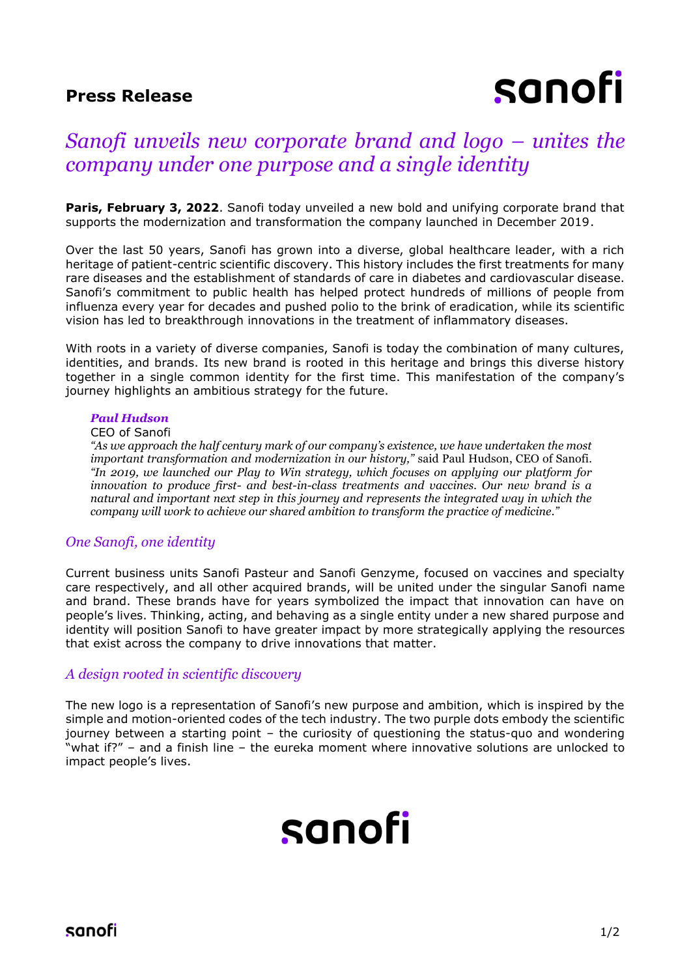### **Press Release**

# sanofi

### *Sanofi unveils new corporate brand and logo – unites the company under one purpose and a single identity*

**Paris, February 3, 2022.** Sanofi today unveiled a new bold and unifying corporate brand that supports the modernization and transformation the company launched in December 2019.

Over the last 50 years, Sanofi has grown into a diverse, global healthcare leader, with a rich heritage of patient-centric scientific discovery. This history includes the first treatments for many rare diseases and the establishment of standards of care in diabetes and cardiovascular disease. Sanofi's commitment to public health has helped protect hundreds of millions of people from influenza every year for decades and pushed polio to the brink of eradication, while its scientific vision has led to breakthrough innovations in the treatment of inflammatory diseases.

With roots in a variety of diverse companies, Sanofi is today the combination of many cultures, identities, and brands. Its new brand is rooted in this heritage and brings this diverse history together in a single common identity for the first time. This manifestation of the company's journey highlights an ambitious strategy for the future.

### *Paul Hudson*

#### CEO of Sanofi

*"As we approach the half century mark of our company's existence, we have undertaken the most important transformation and modernization in our history,"* said Paul Hudson, CEO of Sanofi*. "In 2019, we launched our Play to Win strategy, which focuses on applying our platform for innovation to produce first- and best-in-class treatments and vaccines. Our new brand is a natural and important next step in this journey and represents the integrated way in which the company will work to achieve our shared ambition to transform the practice of medicine."*

### *One Sanofi, one identity*

Current business units Sanofi Pasteur and Sanofi Genzyme, focused on vaccines and specialty care respectively, and all other acquired brands, will be united under the singular Sanofi name and brand. These brands have for years symbolized the impact that innovation can have on people's lives. Thinking, acting, and behaving as a single entity under a new shared purpose and identity will position Sanofi to have greater impact by more strategically applying the resources that exist across the company to drive innovations that matter.

### *A design rooted in scientific discovery*

The new logo is a representation of Sanofi's new purpose and ambition, which is inspired by the simple and motion-oriented codes of the tech industry. The two purple dots embody the scientific journey between a starting point – the curiosity of questioning the status-quo and wondering "what if?" – and a finish line – the eureka moment where innovative solutions are unlocked to impact people's lives.

## sanofi